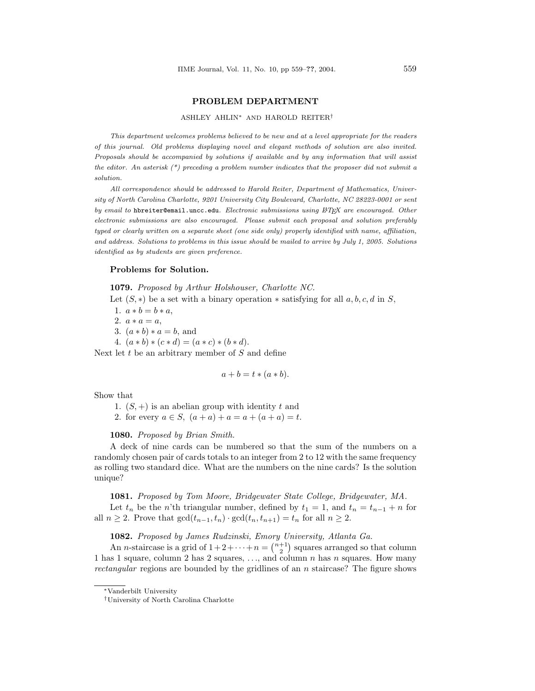#### PROBLEM DEPARTMENT

#### ASHLEY AHLIN<sup>∗</sup> AND HAROLD REITER†

This department welcomes problems believed to be new and at a level appropriate for the readers of this journal. Old problems displaying novel and elegant methods of solution are also invited. Proposals should be accompanied by solutions if available and by any information that will assist the editor. An asterisk  $(*)$  preceding a problem number indicates that the proposer did not submit a solution.

All correspondence should be addressed to Harold Reiter, Department of Mathematics, University of North Carolina Charlotte, 9201 University City Boulevard, Charlotte, NC 28223-0001 or sent by email to hbreiter@email.uncc.edu. Electronic submissions using LATEX are encouraged. Other electronic submissions are also encouraged. Please submit each proposal and solution preferably typed or clearly written on a separate sheet (one side only) properly identified with name, affiliation, and address. Solutions to problems in this issue should be mailed to arrive by July 1, 2005. Solutions identified as by students are given preference.

### Problems for Solution.

1079. Proposed by Arthur Holshouser, Charlotte NC.

Let  $(S, *)$  be a set with a binary operation  $*$  satisfying for all  $a, b, c, d$  in S,

1.  $a * b = b * a$ ,

2.  $a * a = a$ ,

3.  $(a * b) * a = b$ , and

4.  $(a * b) * (c * d) = (a * c) * (b * d).$ 

Next let  $t$  be an arbitrary member of  $S$  and define

$$
a + b = t * (a * b).
$$

Show that

1.  $(S, +)$  is an abelian group with identity t and

2. for every  $a \in S$ ,  $(a + a) + a = a + (a + a) = t$ .

## 1080. Proposed by Brian Smith.

A deck of nine cards can be numbered so that the sum of the numbers on a randomly chosen pair of cards totals to an integer from 2 to 12 with the same frequency as rolling two standard dice. What are the numbers on the nine cards? Is the solution unique?

#### 1081. Proposed by Tom Moore, Bridgewater State College, Bridgewater, MA.

Let  $t_n$  be the n'th triangular number, defined by  $t_1 = 1$ , and  $t_n = t_{n-1} + n$  for all  $n \geq 2$ . Prove that  $gcd(t_{n-1}, t_n) \cdot gcd(t_n, t_{n+1}) = t_n$  for all  $n \geq 2$ .

#### 1082. Proposed by James Rudzinski, Emory University, Atlanta Ga.  $\frac{7}{1}$

**An** *n***-staircase is a grid of**  $1+2+\cdots+n={\binom{n+1}{2}}$ squares arranged so that column 1 has 1 square, column 2 has 2 squares,  $\dots$ , and column n has n squares. How many rectangular regions are bounded by the gridlines of an n staircase? The figure shows

<sup>∗</sup>Vanderbilt University

<sup>†</sup>University of North Carolina Charlotte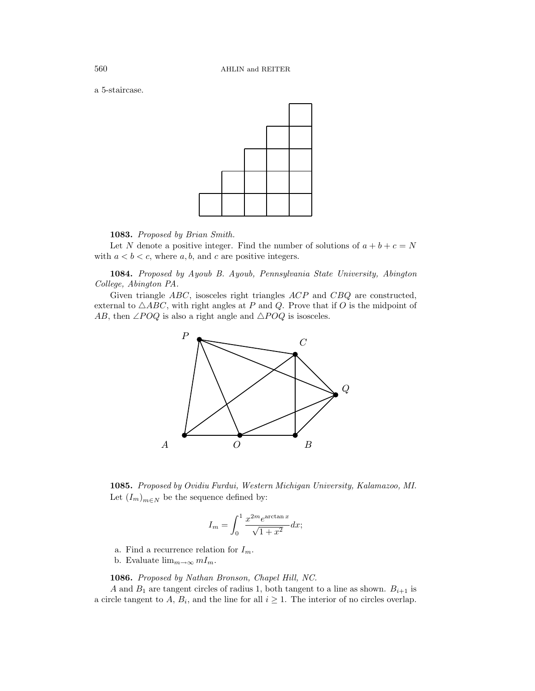a 5-staircase.



1083. Proposed by Brian Smith.

Let N denote a positive integer. Find the number of solutions of  $a + b + c = N$ with  $a < b < c$ , where  $a, b$ , and c are positive integers.

1084. Proposed by Ayoub B. Ayoub, Pennsylvania State University, Abington College, Abington PA.

Given triangle ABC, isosceles right triangles ACP and CBQ are constructed, external to  $\triangle ABC$ , with right angles at P and Q. Prove that if O is the midpoint of AB, then ∠POQ is also a right angle and  $\triangle POQ$  is isosceles.



1085. Proposed by Ovidiu Furdui, Western Michigan University, Kalamazoo, MI. Let  $(I_m)_{m \in N}$  be the sequence defined by:

$$
I_m = \int_0^1 \frac{x^{2m} e^{\arctan x}}{\sqrt{1 + x^2}} dx;
$$

- a. Find a recurrence relation for  $I_m$ .
- b. Evaluate  $\lim_{m\to\infty} mI_m$ .

1086. Proposed by Nathan Bronson, Chapel Hill, NC.

A and  $B_1$  are tangent circles of radius 1, both tangent to a line as shown.  $B_{i+1}$  is a circle tangent to A,  $B_i$ , and the line for all  $i \geq 1$ . The interior of no circles overlap.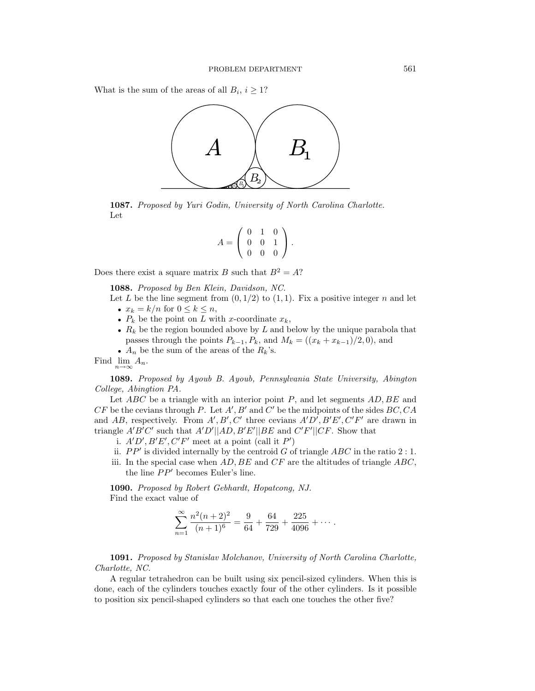What is the sum of the areas of all  $B_i$ ,  $i \geq 1$ ?



1087. Proposed by Yuri Godin, University of North Carolina Charlotte. Let

$$
A = \left(\begin{array}{rrr} 0 & 1 & 0 \\ 0 & 0 & 1 \\ 0 & 0 & 0 \end{array}\right).
$$

Does there exist a square matrix B such that  $B^2 = A$ ?

1088. Proposed by Ben Klein, Davidson, NC.

- Let L be the line segment from  $(0, 1/2)$  to  $(1, 1)$ . Fix a positive integer n and let •  $x_k = k/n$  for  $0 \leq k \leq n$ ,
	- $P_k$  be the point on L with x-coordinate  $x_k$ ,
	- $R_k$  be the region bounded above by  $L$  and below by the unique parabola that passes through the points  $P_{k-1}, P_k$ , and  $M_k = ((x_k + x_{k-1})/2, 0)$ , and
	- $A_n$  be the sum of the areas of the  $R_k$ 's.

Find  $\lim_{n\to\infty} A_n$ .

1089. Proposed by Ayoub B. Ayoub, Pennsylvania State University, Abington College, Abingtion PA.

Let  $ABC$  be a triangle with an interior point P, and let segments  $AD, BE$  and  $CF$  be the cevians through P. Let  $A', B'$  and  $C'$  be the midpoints of the sides  $BC, CA$ and AB, respectively. From  $A', B', C'$  three cevians  $A'D', B'E', C'F'$  are drawn in triangle  $A'B'C'$  such that  $A'D'||AD, B'E'||BE$  and  $C'F'||CF$ . Show that

- i.  $A'D', B'E', C'F'$  meet at a point (call it P')
- ii.  $PP'$  is divided internally by the centroid G of triangle  $ABC$  in the ratio 2 : 1.
- iii. In the special case when  $AD, BE$  and  $CF$  are the altitudes of triangle  $ABC$ , the line  $PP'$  becomes Euler's line.

1090. Proposed by Robert Gebhardt, Hopatcong, NJ. Find the exact value of

$$
\sum_{n=1}^{\infty} \frac{n^2(n+2)^2}{(n+1)^6} = \frac{9}{64} + \frac{64}{729} + \frac{225}{4096} + \cdots
$$

1091. Proposed by Stanislav Molchanov, University of North Carolina Charlotte, Charlotte, NC.

A regular tetrahedron can be built using six pencil-sized cylinders. When this is done, each of the cylinders touches exactly four of the other cylinders. Is it possible to position six pencil-shaped cylinders so that each one touches the other five?